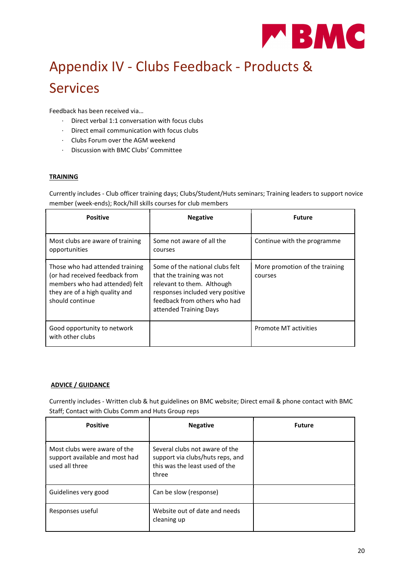

# Appendix IV - Clubs Feedback - Products & Services

Feedback has been received via…

- · Direct verbal 1:1 conversation with focus clubs
- · Direct email communication with focus clubs
- · Clubs Forum over the AGM weekend
- · Discussion with BMC Clubs' Committee

# **TRAINING**

Currently includes - Club officer training days; Clubs/Student/Huts seminars; Training leaders to support novice member (week-ends); Rock/hill skills courses for club members

| <b>Positive</b>                                                                                                                                          | <b>Negative</b>                                                                                                                                                                          | <b>Future</b>                             |
|----------------------------------------------------------------------------------------------------------------------------------------------------------|------------------------------------------------------------------------------------------------------------------------------------------------------------------------------------------|-------------------------------------------|
| Most clubs are aware of training<br>opportunities                                                                                                        | Some not aware of all the<br>courses                                                                                                                                                     | Continue with the programme               |
| Those who had attended training<br>(or had received feedback from<br>members who had attended) felt<br>they are of a high quality and<br>should continue | Some of the national clubs felt<br>that the training was not<br>relevant to them. Although<br>responses included very positive<br>feedback from others who had<br>attended Training Days | More promotion of the training<br>courses |
| Good opportunity to network<br>with other clubs                                                                                                          |                                                                                                                                                                                          | <b>Promote MT activities</b>              |

# ADVICE / GUIDANCE

Currently includes - Written club & hut guidelines on BMC website; Direct email & phone contact with BMC Staff; Contact with Clubs Comm and Huts Group reps

| <b>Positive</b>                                                                  | <b>Negative</b>                                                                                               | <b>Future</b> |
|----------------------------------------------------------------------------------|---------------------------------------------------------------------------------------------------------------|---------------|
| Most clubs were aware of the<br>support available and most had<br>used all three | Several clubs not aware of the<br>support via clubs/huts reps, and<br>this was the least used of the<br>three |               |
| Guidelines very good                                                             | Can be slow (response)                                                                                        |               |
| Responses useful                                                                 | Website out of date and needs<br>cleaning up                                                                  |               |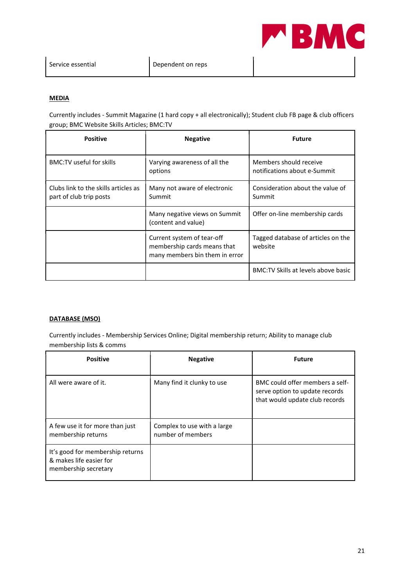

Currently includes - Summit Magazine (1 hard copy + all electronically); Student club FB page & club officers group; BMC Website Skills Articles; BMC:TV

| <b>Positive</b>                                                 | <b>Negative</b>                                                                             | <b>Future</b>                                          |
|-----------------------------------------------------------------|---------------------------------------------------------------------------------------------|--------------------------------------------------------|
| <b>BMC:TV</b> useful for skills                                 | Varying awareness of all the<br>options                                                     | Members should receive<br>notifications about e-Summit |
| Clubs link to the skills articles as<br>part of club trip posts | Many not aware of electronic<br>Summit                                                      | Consideration about the value of<br>Summit             |
|                                                                 | Many negative views on Summit<br>(content and value)                                        | Offer on-line membership cards                         |
|                                                                 | Current system of tear-off<br>membership cards means that<br>many members bin them in error | Tagged database of articles on the<br>website          |
|                                                                 |                                                                                             | BMC:TV Skills at levels above basic                    |

## DATABASE (MSO)

Currently includes - Membership Services Online; Digital membership return; Ability to manage club membership lists & comms

| <b>Positive</b>                                                                     | <b>Negative</b>                                  | <b>Future</b>                                                                                       |
|-------------------------------------------------------------------------------------|--------------------------------------------------|-----------------------------------------------------------------------------------------------------|
| All were aware of it.                                                               | Many find it clunky to use                       | BMC could offer members a self-<br>serve option to update records<br>that would update club records |
| A few use it for more than just<br>membership returns                               | Complex to use with a large<br>number of members |                                                                                                     |
| It's good for membership returns<br>& makes life easier for<br>membership secretary |                                                  |                                                                                                     |

BMC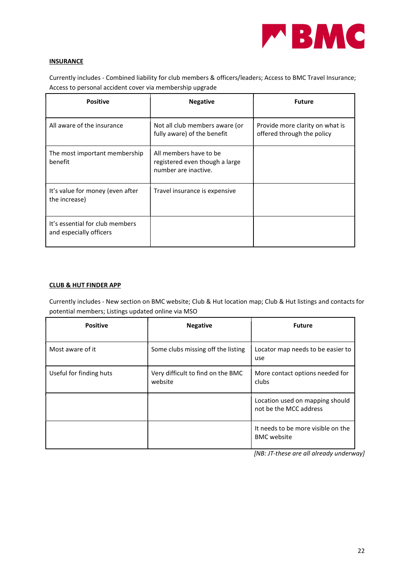

# **INSURANCE**

Currently includes - Combined liability for club members & officers/leaders; Access to BMC Travel Insurance; Access to personal accident cover via membership upgrade

| <b>Positive</b>                                            | <b>Negative</b>                                                                  | <b>Future</b>                                                 |
|------------------------------------------------------------|----------------------------------------------------------------------------------|---------------------------------------------------------------|
| All aware of the insurance                                 | Not all club members aware (or<br>fully aware) of the benefit                    | Provide more clarity on what is<br>offered through the policy |
| The most important membership<br>benefit                   | All members have to be<br>registered even though a large<br>number are inactive. |                                                               |
| It's value for money (even after<br>the increase)          | Travel insurance is expensive                                                    |                                                               |
| It's essential for club members<br>and especially officers |                                                                                  |                                                               |

## CLUB & HUT FINDER APP

Currently includes - New section on BMC website; Club & Hut location map; Club & Hut listings and contacts for potential members; Listings updated online via MSO

| <b>Positive</b>         | <b>Negative</b>                              | <b>Future</b>                                             |
|-------------------------|----------------------------------------------|-----------------------------------------------------------|
| Most aware of it        | Some clubs missing off the listing           | Locator map needs to be easier to<br>use                  |
| Useful for finding huts | Very difficult to find on the BMC<br>website | More contact options needed for<br>clubs                  |
|                         |                                              | Location used on mapping should<br>not be the MCC address |
|                         |                                              | It needs to be more visible on the<br><b>BMC</b> website  |

[NB: JT-these are all already underway]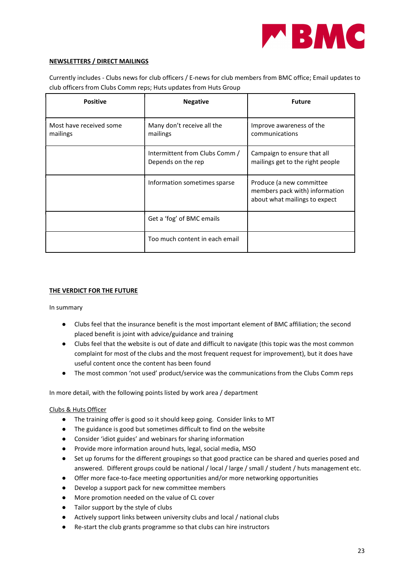

## NEWSLETTERS / DIRECT MAILINGS

Currently includes - Clubs news for club officers / E-news for club members from BMC office; Email updates to club officers from Clubs Comm reps; Huts updates from Huts Group

| <b>Positive</b>                     | <b>Negative</b>                                      | <b>Future</b>                                                                               |
|-------------------------------------|------------------------------------------------------|---------------------------------------------------------------------------------------------|
| Most have received some<br>mailings | Many don't receive all the<br>mailings               | Improve awareness of the<br>communications                                                  |
|                                     | Intermittent from Clubs Comm /<br>Depends on the rep | Campaign to ensure that all<br>mailings get to the right people                             |
|                                     | Information sometimes sparse                         | Produce (a new committee<br>members pack with) information<br>about what mailings to expect |
|                                     | Get a 'fog' of BMC emails                            |                                                                                             |
|                                     | Too much content in each email                       |                                                                                             |

## THE VERDICT FOR THE FUTURE

In summary

- Clubs feel that the insurance benefit is the most important element of BMC affiliation; the second placed benefit is joint with advice/guidance and training
- Clubs feel that the website is out of date and difficult to navigate (this topic was the most common complaint for most of the clubs and the most frequent request for improvement), but it does have useful content once the content has been found
- The most common 'not used' product/service was the communications from the Clubs Comm reps

In more detail, with the following points listed by work area / department

## Clubs & Huts Officer

- The training offer is good so it should keep going. Consider links to MT
- The guidance is good but sometimes difficult to find on the website
- Consider 'idiot guides' and webinars for sharing information
- Provide more information around huts, legal, social media, MSO
- Set up forums for the different groupings so that good practice can be shared and queries posed and answered. Different groups could be national / local / large / small / student / huts management etc.
- Offer more face-to-face meeting opportunities and/or more networking opportunities
- Develop a support pack for new committee members
- More promotion needed on the value of CL cover
- Tailor support by the style of clubs
- Actively support links between university clubs and local / national clubs
- Re-start the club grants programme so that clubs can hire instructors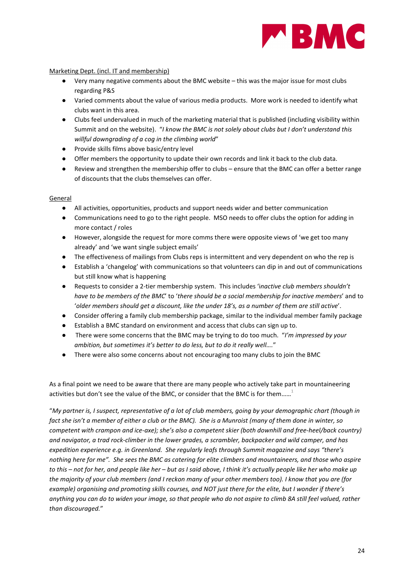

## Marketing Dept. (incl. IT and membership)

- Very many negative comments about the BMC website this was the major issue for most clubs regarding P&S
- Varied comments about the value of various media products. More work is needed to identify what clubs want in this area.
- Clubs feel undervalued in much of the marketing material that is published (including visibility within Summit and on the website). "I know the BMC is not solely about clubs but I don't understand this willful downgrading of a cog in the climbing world"
- Provide skills films above basic/entry level
- Offer members the opportunity to update their own records and link it back to the club data.
- Review and strengthen the membership offer to clubs ensure that the BMC can offer a better range of discounts that the clubs themselves can offer.

#### General

- All activities, opportunities, products and support needs wider and better communication
- Communications need to go to the right people. MSO needs to offer clubs the option for adding in more contact / roles
- However, alongside the request for more comms there were opposite views of 'we get too many already' and 'we want single subject emails'
- The effectiveness of mailings from Clubs reps is intermittent and very dependent on who the rep is
- Establish a 'changelog' with communications so that volunteers can dip in and out of communications but still know what is happening
- Requests to consider a 2-tier membership system. This includes 'inactive club members shouldn't have to be members of the BMC' to 'there should be a social membership for inactive members' and to 'older members should get a discount, like the under 18's, as a number of them are still active'.
- Consider offering a family club membership package, similar to the individual member family package
- Establish a BMC standard on environment and access that clubs can sign up to.
- There were some concerns that the BMC may be trying to do too much. "I'm impressed by your ambition, but sometimes it's better to do less, but to do it really well…."
- There were also some concerns about not encouraging too many clubs to join the BMC

As a final point we need to be aware that there are many people who actively take part in mountaineering activities but don't see the value of the BMC, or consider that the BMC is for them......<sup>1</sup>

"My partner is, I suspect, representative of a lot of club members, going by your demographic chart (though in fact she isn't a member of either a club or the BMC). She is a Munroist (many of them done in winter, so competent with crampon and ice-axe); she's also a competent skier (both downhill and free-heel/back country) and navigator, a trad rock-climber in the lower grades, a scrambler, backpacker and wild camper, and has expedition experience e.g. in Greenland. She regularly leafs through Summit magazine and says "there's nothing here for me". She sees the BMC as catering for elite climbers and mountaineers, and those who aspire to this – not for her, and people like her – but as I said above, I think it's actually people like her who make up the majority of your club members (and I reckon many of your other members too). I know that you are (for example) organising and promoting skills courses, and NOT just there for the elite, but I wonder if there's anything you can do to widen your image, so that people who do not aspire to climb 8A still feel valued, rather than discouraged."